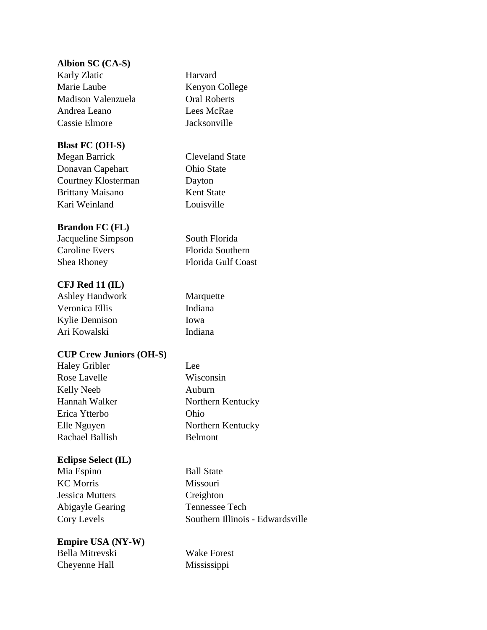## **Albion SC (CA-S)**

Karly Zlatic **Harvard** Marie Laube Kenyon College Madison Valenzuela Oral Roberts Andrea Leano Lees McRae Cassie Elmore Jacksonville

## **Blast FC (OH-S)**

Megan Barrick Cleveland State Donavan Capehart **Ohio State** Courtney Klosterman Dayton Brittany Maisano Kent State Kari Weinland Louisville

## **Brandon FC (FL)**

Jacqueline Simpson South Florida Caroline Evers Florida Southern Shea Rhoney Florida Gulf Coast

## **CFJ Red 11 (IL)**

Ashley Handwork Marquette Veronica Ellis Indiana Kylie Dennison Iowa Ari Kowalski Indiana

# **CUP Crew Juniors (OH-S)**

Haley Gribler Lee Rose Lavelle Wisconsin Kelly Neeb Auburn Erica Ytterbo Ohio Rachael Ballish Belmont

#### **Eclipse Select (IL)**

Mia Espino Ball State KC Morris Missouri Jessica Mutters Creighton Abigayle Gearing Tennessee Tech

## **Empire USA (NY-W)** Bella Mitrevski Wake Forest Cheyenne Hall Mississippi

Hannah Walker Northern Kentucky Elle Nguyen Northern Kentucky

Cory Levels Southern Illinois - Edwardsville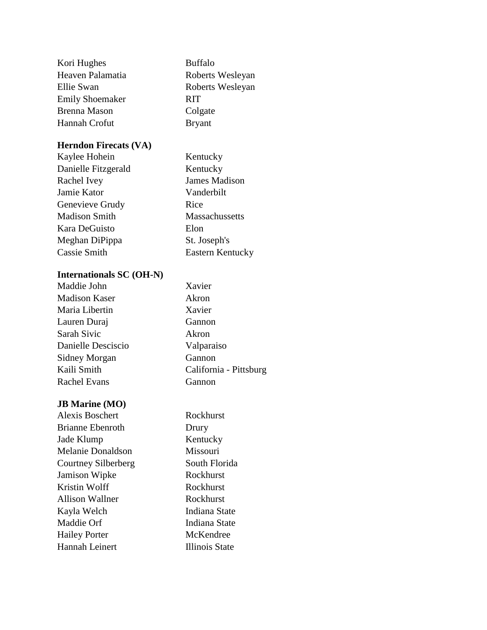| Kori Hughes            | <b>Buffalo</b>   |
|------------------------|------------------|
| Heaven Palamatia       | Roberts Wesleyan |
| Ellie Swan             | Roberts Wesleyan |
| <b>Emily Shoemaker</b> | <b>RIT</b>       |
| Brenna Mason           | Colgate          |
| Hannah Crofut          | <b>Bryant</b>    |
|                        |                  |

Kentucky James Madison Vanderbilt

Massachussetts

Eastern Kentucky

St. Joseph's

#### **Herndon Firecats (VA)**

| Kaylee Hohein        | Kentucky   |
|----------------------|------------|
| Danielle Fitzgerald  | Kentucky   |
| Rachel Ivey          | James Ma   |
| Jamie Kator          | Vanderbil  |
| Genevieve Grudy      | Rice       |
| <b>Madison Smith</b> | Massachu   |
| Kara DeGuisto        | Elon       |
| Meghan DiPippa       | St. Joseph |
| Cassie Smith         | Eastern K  |
|                      |            |

# **Internationals SC (OH-N)**

| Maddie John          | Xavier                 |
|----------------------|------------------------|
| <b>Madison Kaser</b> | Akron                  |
| Maria Libertin       | Xavier                 |
| Lauren Duraj         | Gannon                 |
| Sarah Sivic          | Akron                  |
| Danielle Desciscio   | Valparaiso             |
| Sidney Morgan        | Gannon                 |
| Kaili Smith          | California - Pittsburg |
| <b>Rachel Evans</b>  | Gannon                 |
|                      |                        |

# **JB Marine (MO)**

| <b>Alexis Boschert</b> | Rockhurst             |
|------------------------|-----------------------|
| Brianne Ebenroth       | Drury                 |
| Jade Klump             | Kentucky              |
| Melanie Donaldson      | Missouri              |
| Courtney Silberberg    | South Florida         |
| Jamison Wipke          | Rockhurst             |
| Kristin Wolff          | Rockhurst             |
| Allison Wallner        | Rockhurst             |
| Kayla Welch            | Indiana State         |
| Maddie Orf             | Indiana State         |
| <b>Hailey Porter</b>   | McKendree             |
| Hannah Leinert         | <b>Illinois State</b> |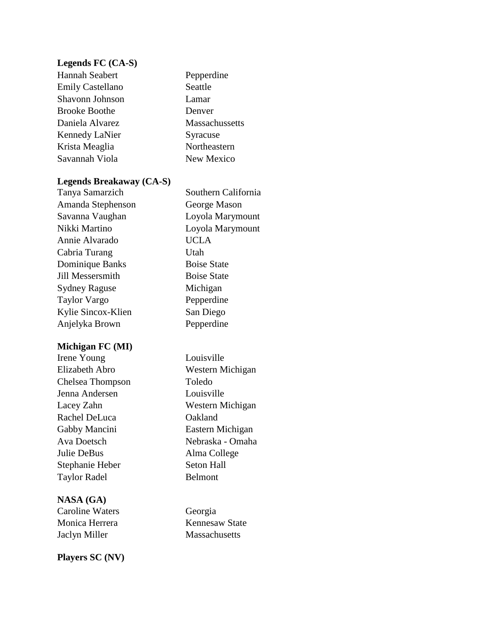## **Legends FC (CA-S)**

Hannah Seabert Pepperdine Emily Castellano Seattle Shavonn Johnson Lamar Brooke Boothe Denver Daniela Alvarez Massachussetts Kennedy LaNier Syracuse Krista Meaglia Northeastern Savannah Viola New Mexico

#### **Legends Breakaway (CA-S)**

| Tanya Samarzich      | Sout        |
|----------------------|-------------|
| Amanda Stephenson    | Geor        |
| Savanna Vaughan      | Loyo        |
| Nikki Martino        | Loyo        |
| Annie Alvarado       | <b>UCL</b>  |
| Cabria Turang        | Utah        |
| Dominique Banks      | <b>Bois</b> |
| Jill Messersmith     | <b>Bois</b> |
| <b>Sydney Raguse</b> | Mich        |
| Taylor Vargo         | Pepp        |
| Kylie Sincox-Klien   | San l       |
| Anjelyka Brown       | Pepp        |

#### **Michigan FC (MI)**

Irene Young Louisville Chelsea Thompson Toledo Jenna Andersen Louisville Rachel DeLuca **Oakland** Gabby Mancini Eastern Michigan Julie DeBus Alma College Stephanie Heber Seton Hall Taylor Radel Belmont

# **NASA (GA)**

Caroline Waters Georgia Monica Herrera Kennesaw State Jaclyn Miller Massachusetts

**Players SC (NV)**

Elizabeth Abro Western Michigan Lacey Zahn Western Michigan Ava Doetsch Nebraska - Omaha

Southern California

George Mason Loyola Marymount Loyola Marymount

UCLA

**Boise State** Boise State Michigan Pepperdine San Diego Pepperdine